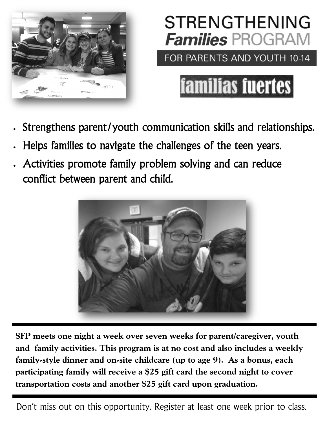



familias fuertes

- Strengthens parent/youth communication skills and relationships.
- Helps families to navigate the challenges of the teen years.
- Activities promote family problem solving and can reduce conflict between parent and child.



**SFP meets one night a week over seven weeks for parent/caregiver, youth and family activities. This program is at no cost and also includes a weekly family-style dinner and on-site childcare (up to age 9). As a bonus, each participating family will receive a \$25 gift card the second night to cover transportation costs and another \$25 gift card upon graduation.**

Don't miss out on this opportunity. Register at least one week prior to class.